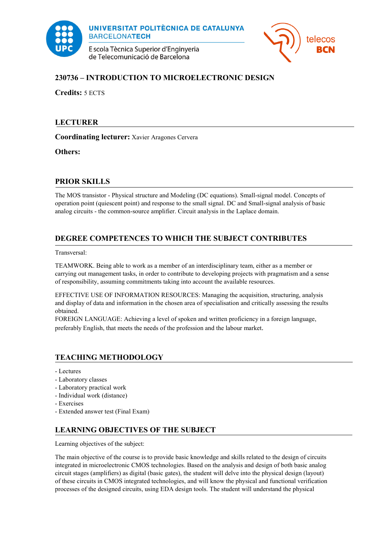

UNIVERSITAT POLITÈCNICA DE CATALUNYA **BARCELONATECH** 

E scola Tècnica Superior d'Enginyeria de Telecomunicació de Barcelona



## **230736 – INTRODUCTION TO MICROELECTRONIC DESIGN**

**Credits:** 5 ECTS

### **LECTURER**

**Coordinating lecturer:** Xavier Aragones Cervera

**Others:**

### **PRIOR SKILLS**

The MOS transistor - Physical structure and Modeling (DC equations). Small-signal model. Concepts of operation point (quiescent point) and response to the small signal. DC and Small-signal analysis of basic analog circuits - the common-source amplifier. Circuit analysis in the Laplace domain.

# **DEGREE COMPETENCES TO WHICH THE SUBJECT CONTRIBUTES**

Transversal:

TEAMWORK. Being able to work as a member of an interdisciplinary team, either as a member or carrying out management tasks, in order to contribute to developing projects with pragmatism and a sense of responsibility, assuming commitments taking into account the available resources.

EFFECTIVE USE OF INFORMATION RESOURCES: Managing the acquisition, structuring, analysis and display of data and information in the chosen area of specialisation and critically assessing the results obtained.

FOREIGN LANGUAGE: Achieving a level of spoken and written proficiency in a foreign language, preferably English, that meets the needs of the profession and the labour market.

### **TEACHING METHODOLOGY**

- Lectures
- Laboratory classes
- Laboratory practical work
- Individual work (distance)
- Exercises
- Extended answer test (Final Exam)

### **LEARNING OBJECTIVES OF THE SUBJECT**

Learning objectives of the subject:

The main objective of the course is to provide basic knowledge and skills related to the design of circuits integrated in microelectronic CMOS technologies. Based on the analysis and design of both basic analog circuit stages (amplifiers) as digital (basic gates), the student will delve into the physical design (layout) of these circuits in CMOS integrated technologies, and will know the physical and functional verification processes of the designed circuits, using EDA design tools. The student will understand the physical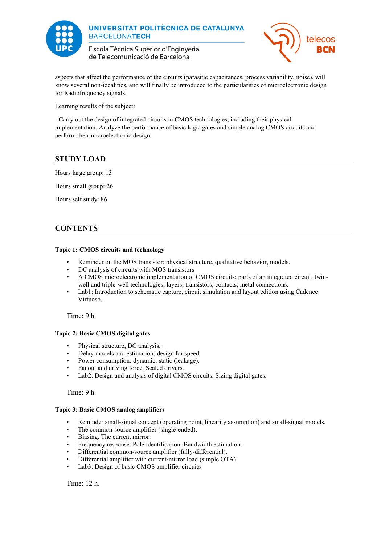

UNIVERSITAT POLITÈCNICA DE CATALUNYA **BARCELONATECH** 

E scola Tècnica Superior d'Enginyeria de Telecomunicació de Barcelona



aspects that affect the performance of the circuits (parasitic capacitances, process variability, noise), will know several non-idealities, and will finally be introduced to the particularities of microelectronic design for Radiofrequency signals.

Learning results of the subject:

- Carry out the design of integrated circuits in CMOS technologies, including their physical implementation. Analyze the performance of basic logic gates and simple analog CMOS circuits and perform their microelectronic design.

## **STUDY LOAD**

Hours large group: 13

Hours small group: 26

Hours self study: 86

### **CONTENTS**

#### **Topic 1: CMOS circuits and technology**

- Reminder on the MOS transistor: physical structure, qualitative behavior, models.
- DC analysis of circuits with MOS transistors
- A CMOS microelectronic implementation of CMOS circuits: parts of an integrated circuit; twinwell and triple-well technologies; layers; transistors; contacts; metal connections.
- Lab1: Introduction to schematic capture, circuit simulation and layout edition using Cadence Virtuoso.

Time: 9 h.

#### **Topic 2: Basic CMOS digital gates**

- Physical structure, DC analysis,
- Delay models and estimation; design for speed
- Power consumption: dynamic, static (leakage).
- Fanout and driving force. Scaled drivers.
- Lab2: Design and analysis of digital CMOS circuits. Sizing digital gates.

Time: 9 h.

#### **Topic 3: Basic CMOS analog amplifiers**

- Reminder small-signal concept (operating point, linearity assumption) and small-signal models.
- The common-source amplifier (single-ended).
- Biasing. The current mirror.
- Frequency response. Pole identification. Bandwidth estimation.
- Differential common-source amplifier (fully-differential).
- Differential amplifier with current-mirror load (simple OTA)
- Lab3: Design of basic CMOS amplifier circuits

Time: 12 h.